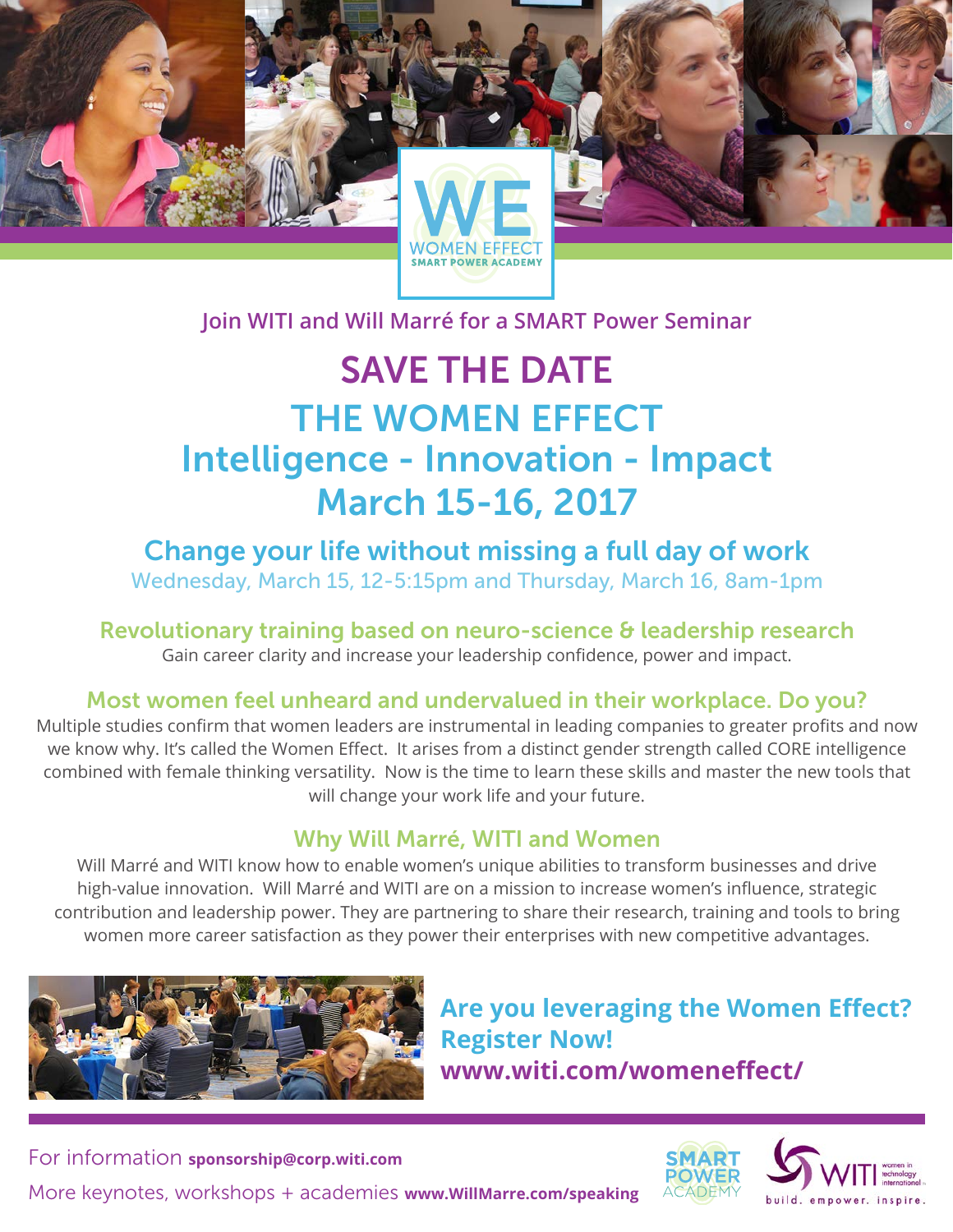**Join WITI and Will Marré for a SMART Power Seminar**

# SAVE THE DATE THE WOMEN EFFECT Intelligence - Innovation - Impact March 15-16, 2017

Change your life without missing a full day of work Wednesday, March 15, 12-5:15pm and Thursday, March 16, 8am-1pm

Revolutionary training based on neuro-science & leadership research Gain career clarity and increase your leadership confidence, power and impact.

## Most women feel unheard and undervalued in their workplace. Do you?

Multiple studies confirm that women leaders are instrumental in leading companies to greater profits and now we know why. It's called the Women Effect. It arises from a distinct gender strength called CORE intelligence combined with female thinking versatility. Now is the time to learn these skills and master the new tools that will change your work life and your future.

### Why Will Marré, WITI and Women

Will Marré and WITI know how to enable women's unique abilities to transform businesses and drive high-value innovation. Will Marré and WITI are on a mission to increase women's influence, strategic contribution and leadership power. They are partnering to share their research, training and tools to bring women more career satisfaction as they power their enterprises with new competitive advantages.



**Are you leveraging the Women Effect? Register Now! www.witi.com/womeneffect/**



More keynotes, workshops + academies **www.WillMarre.com/speaking** For information **sponsorship@corp.witi.com**